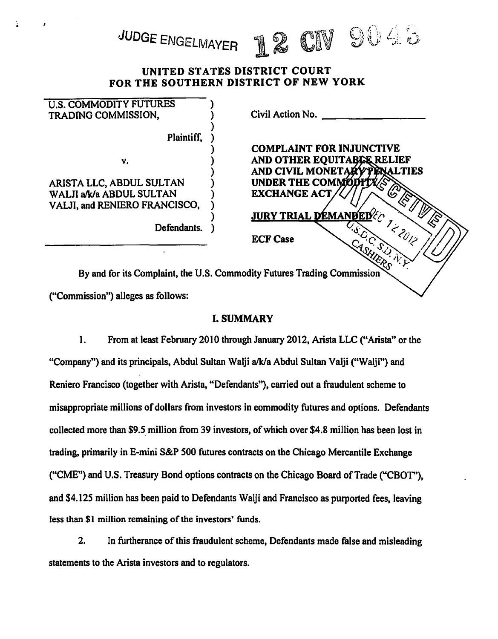# UNITED STATES DISTRICT COURT FOR THE SOUTHERN DISTRICT OF NEW YORK

12 CN 9048

JUDGE ENGELMAYER

| <b>U.S. COMMODITY FUTURES</b><br>TRADING COMMISSION.                    | Civil Action No.                |
|-------------------------------------------------------------------------|---------------------------------|
| Plaintiff,                                                              |                                 |
|                                                                         | <b>COMPLAINT FOR INJUNCTIVE</b> |
| v.                                                                      | AND OTHER EQUITABLE RELIEF      |
|                                                                         | AND CIVIL MONETARY PENALTIES    |
| ARISTA LLC, ABDUL SULTAN                                                | UNDER THE COMMODIT              |
| WALJI a/k/a ABDUL SULTAN                                                | <b>EXCHANGE ACT</b>             |
| VALJI, and RENIERO FRANCISCO,                                           |                                 |
|                                                                         | <b>JURY TRIAL DEMANDED</b>      |
| Defendants.                                                             |                                 |
|                                                                         | <b>ECF Case</b>                 |
|                                                                         |                                 |
|                                                                         |                                 |
| By and for its Complaint, the U.S. Commodity Futures Trading Commission |                                 |
|                                                                         |                                 |

("Commission") alleges as follows:

# I. SUMMARY

1. From at least February 2010 through January 2012, Arista LLC ("Arista" or the "Company") and its principals, Abdul Sultan Walji a/k/a Abdul Sultan Valji ("Walji") and Reniero Francisco (together with Arista, "Defendants"), carried out a fraudulent scheme to misappropriate millions of dollars from investors in commodity futures and options. Defendants collected more than \$9.5\_ million from 39 investors, of which over \$4.8 million bas been lost in trading, primarily in E-mini S&P 500 futures contracts on the Chicago Mercantile Exchange ("CME") and U.S. Treasury Bond options contracts on the Chicago Board of Trade ("CBOT"), and \$4.125 million has been paid to Defendants Walji and Francisco as purported fees, leaving less than \$1 million remaining of the investors' funds.

2. In furtherance of this fraudulent scheme, Defendants made false and misleading statements to the Arista investors and to regulators.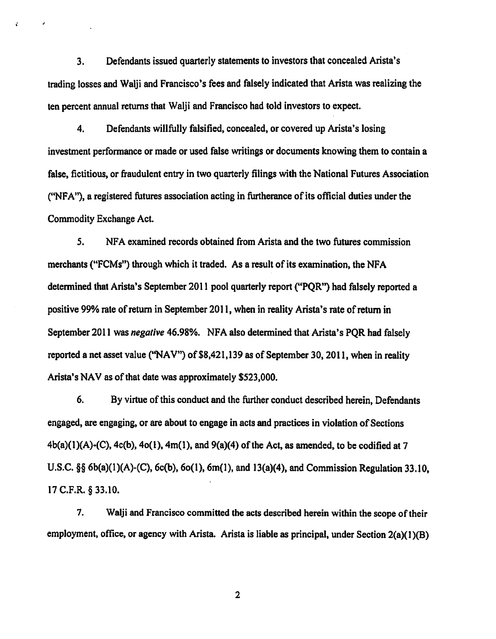3. Defendants issued quarterly statements to investors that concealed Arista's trading losses and Walji and Francisco's fees and falsely indicated that Arista was realizing the ten percent annual returns that Walji and Francisco had told investors to expect.

 $\ddot{\mathbf{r}}$ 

4. Defendants willfully falsified, concealed, or covered up Arista's losing investment performance or made or used false writings or documents knowing them to contain a false, fictitious, or fraudulent entry in two quarterly filings with the National Futures Association ("NFA"), a registered futures association acting in furtherance of its official duties under the Commodity Exchange Act.

*5.* NFA examined records obtained from Arista and the two futures commission merchants ("FCMs") through which it traded. As a result of its examination, the NFA detennined that Arista's September 2011 pool quarterly report ("PQR") had falsely reported a positive 99% rate of return in September 2011, when in reality Arista's rate of return in September 2011 was *negative* 46.98%. NFA also determined that Arista's PQR had falsely reported a net asset value ("NAV") of \$8,421,139 as of September 30, 2011, when in reality Arista's NAV as of that date was approximately \$523,000.

6. By virtue of this conduct and the further conduct described herein, Defendants engaged, are engaging, or are about to engage in acts and practices in violation of Sections  $4b(a)(1)(A)-(C)$ ,  $4c(b)$ ,  $4o(1)$ ,  $4m(1)$ , and  $9(a)(4)$  of the Act, as amended, to be codified at 7 U.S.C.  $\S$ § 6b(a)(1)(A)-(C), 6c(b), 6o(1), 6m(1), and 13(a)(4), and Commission Regulation 33.10, 17 C.F.R. § 33.10.

7. Walji and Francisco committed the acts described herein within the scope of their employment, office, or agency with Arista. Arista is liable as principal, under Section 2(a)(1)(B)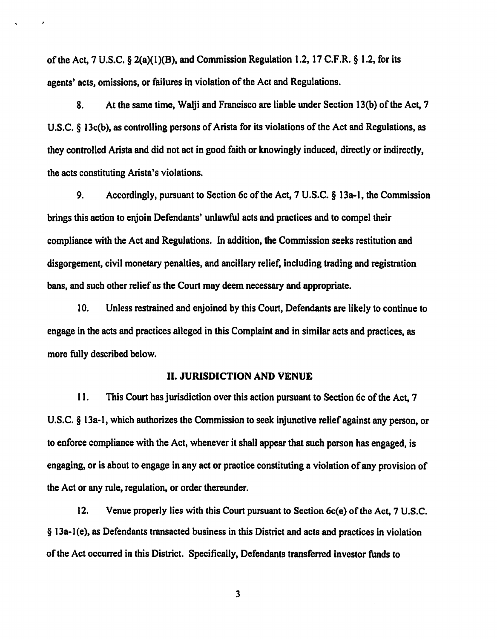of the Act, 7 U.S.C. § 2(a)(l)(B), and Commission Regulation 1.2, 17 C.F.R. § 1.2, for its agents' acts, omissions, or failures in violation of the Act and Regulations.

8. At the same time, Walji and Francisco are liable under Section 13(b) of the Act, 7 U.S.C. § 13c(b), as controlling persons of Arista for its violations of the Act and Regulations, as they controlled Arista and did not act in good faith or knowingly induced, directly or indirectly, the acts constituting Arista's violations.

9. Accordingly, pursuant to Section 6c of the Act, 7 U.S.C. § 13a-l, the Commission brings this action to enjoin Defendants' unlawful acts and practices and to compel their compliance with the Act and Regulations. In addition, the Commission seeks restitution and disgorgement, civil monetary penalties, and ancillary relief, including trading and registration bans, and such other relief as the Court may deem necessary and appropriate.

10. Unless restrained and enjoined by this Court, Defendants are likely to continue to engage in the acts and practices alleged in this Complaint and in similar acts and practices, as more fully described below.

### II. JURISDICTION AND VENUE

11. This Court has jurisdiction over this action pursuant to Section 6c of the Act, 7 U.S.C. § 13a-l, which authorizes the Commission to seek injunctive relief against any person, or to enforce compliance with the Act, whenever it shall appear that such person has engaged, is engaging, or is about to engage in any act or practice constituting a violation of any provision of the Act or any rule, regulation, or order thereunder.

12. Venue properly lies with this Court pursuant to Section 6c(e) of the Act, 7 U.S.C. § 13a-l(e), as Defendants transacted business in this District and acts and practices in violation of the Act occurred in this District. Specifically, Defendants transferred investor funds to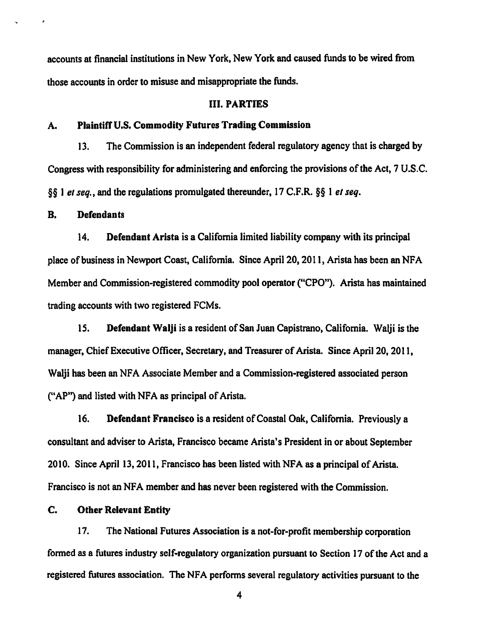accounts at financial institutions in New York, New York and caused funds to be wired from those accounts in order to misuse and misappropriate the funds.

#### III. PARTIES

#### A. Plaintiff U.S. Commodity Futures Trading Commission

13. The Commission is an independent federal regulatory agency that is charged by Congress with responsibility for administering and enforcing the provisions of the Act, 7 U.S.C. §§ J *et seq.,* and the regulations promulgated thereunder, 17 C.F.R. §§ 1 *el seq.* 

# B. Defendants

14. Defendant Arista is a California limited liability company with its principal place of business in Newport Coast, California. Since April20, 2011, Arista has been an NFA Member and Commission-registered commodity pool operator ("CPO"). Arista has maintained trading accounts with two registered FCMs.

15. Defendant Walji is a resident of San Juan Capistrano, California. Walji is the manager, Chief Executive Officer, Secretary, and Treasurer of Arista. Since Apri120, 2011, Walji has been an NFA Associate Member and a Commission-registered associated person ("AP") and listed with NFA as principal of Arista.

16. Defendant Francisco is a resident of Coastal Oak, California. Previously a consultant and adviser to Arista, Francisco became Arista's President in or about September 2010. Since April 13, 2011, Francisco has been listed with NFA as a principal of Arista. Francisco is not an NFA member and has never been registered with the Commission.

# C. Other Relevant Entity

17. The National Futures Association is a not-for-profit membership corporation fonned as a futures industry self-regulatory organization pursuant to Section 17 of the Act and a registered futures association. The NFA performs several regulatory activities pursuant to the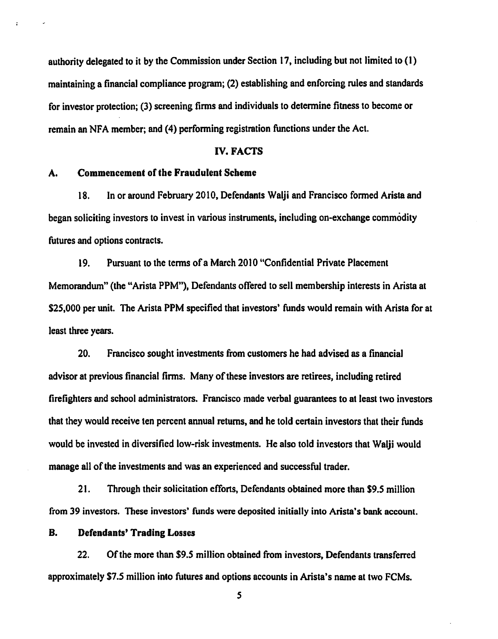authority delegated to it by the Commission under Section 17, including but not limited to (I) maintaining a financial compliance program; (2) establishing and enforcing rules and standards for investor protection; (3) screening firms and individuals to determine fitness to become or remain an NFA member; and (4) performing registration functions under the Act.

#### IV. FACTS

# A. Commencement of the Fraudulent Scheme

 $\ddot{\cdot}$ 

18. In or around February 2010, Defendants Walji and Francisco formed Arista and began soliciting investors to invest in various instruments, including on-exchange commodity futures and options contracts.

19. Pursuant to the terms of a March 2010 "Confidential Private Placement Memorandum" (the "Arista PPM"}, Defendants offered to sell membership interests in Arista at \$25,000 per unit. The Arista PPM specified that investors' funds would remain with Arista for at least three years.

20. Francisco sought investments from customers he had advised as a financial advisor at previous financial firms. Many of these investors are retirees, including retired firefighters and school administrators. Francisco made verbal guarantees to at least two investors that they would receive ten percent annual returns, and he told certain investors that their funds would be invested in diversified low-risk investments. He also told investors that Walji would manage all of the investments and was an experienced and successful trader.

21. Through their solicitation efforts, Defendants obtained more than \$9.5 million from 39 investors. These investors' funds were deposited initially into Arista's bank account.

# B. Defendants' Trading Losses

22. Of the more than \$9.5 million obtained from investors, Defendants transferred approximately \$7.5 million into futures and options accounts in Arista's name at two FCMs.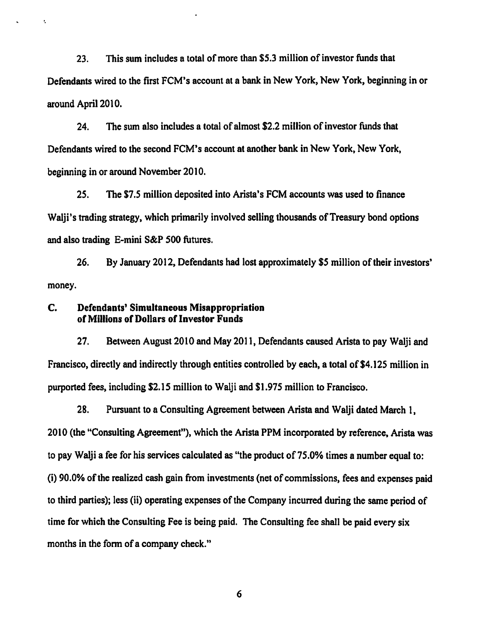23. This sum includes a total of more than \$5.3 million of investor funds that Defendants wired to the first FCM's account at a bank in New York, New York, beginning in or around April2010.

24. The sum also includes a total of almost \$2.2 million of investor funds that Defendants wired to the second FCM's account at another bank in New York, New York, beginning in or around November 2010.

25. The \$7.5 million deposited into Arista's FCM accounts was used to finance Walji's trading strategy, which primarily involved selling thousands of Treasury bond options and also trading E-mini S&P 500 futures.

26. By January 2012, Defendants had lost approximately *\$5* million of their investors' money.

# C. Defendants' Simultaneous Misappropriation of Millions of Dollars of Investor Funds

 $\ddot{\phantom{a}}$ 

27. Between August 2010 and May 2011, Defendants caused Arista to pay Walji and Francisco, directly and indirectly through entities controlled by each, a total of \$4.125 million in purported fees, including \$2.15 million to Walji and \$1.975 million to Francisco.

28. Pursuant to a Consulting Agreement between Arista and Walji dated March 1, 2010 (the "Consulting Agreement"), which the Arista PPM incorporated by reference, Arista was to pay Walji a fee for his services calculated as "the product of 75.0% times a number equal to: (i) 90.0% of the realized cash gain from investments (net of commissions, fees and expenses paid to third parties); less (ii) operating expenses of the Company incurred during the same period of time for which the Consulting Fee is being paid. The Consulting fee shall be paid every six months in the form of a company check."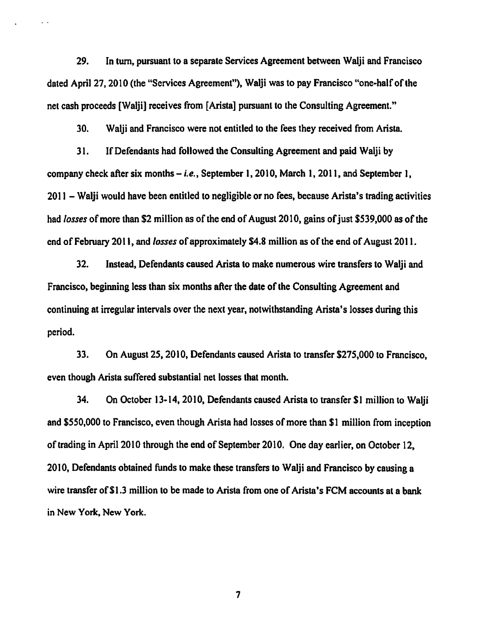29. In tum, pursuant to a separate Services Agreement between Walji and Francisco dated April 27, 2010 (the "Services Agreement"), Walji was to pay Francisco "one-half of the net cash proceeds [Walji] receives from [Arista] pursuant to the Consulting Agreement."

30. Walji and Francisco were not entitled to the fees they received from Arista.

31. If Defendants had followed the Consulting Agreement and paid Walji by company check after six months- *i.e.,* September 1, 2010, March 1, 2011, and September 1, 2011 - Walji would have been entitled to negligible or no fees, because Arista's trading activities had *losses* of more than \$2 million as of the end of August 2010, gains of just \$539,000 as of the end of February 2011, and *losses* of approximately \$4.8 million as of the end of August 2011.

32. Instead, Defendants caused Arista to make numerous wire transfers to Walji and Francisco, beginning less than six months after the date of the Consulting Agreement and continuing at irregular intervals over the next year, notwithstanding Arista's losses during this period.

33. On August 25, 2010, Defendants caused Arista to transfer \$275,000 to Francisco, even though Arista suffered substantial net losses that month.

34. On October 13-14, 2010, Defendants caused Arista to transfer \$1 million to Walji and \$550,000 to Francisco, even though Arista had losses of more than \$1 million from inception of trading in April2010 through the end of September 2010. One day earlier, on October 12, 2010, Defendants obtained funds to make these transfers to Walji and Francisco by causing a wire transfer of \$1.3 million to be made to Arista from one of Arista's FCM accounts at a bank in New York. New York.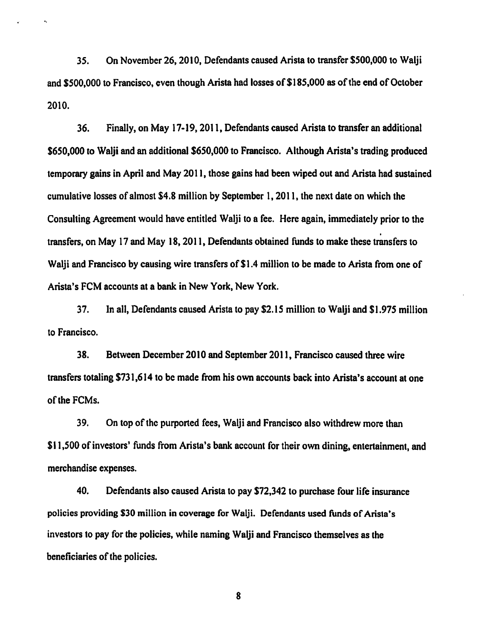35. On November 26, 2010, Defendants caused Arista to transfer \$500,000 to Walji and \$500,000 to Francisco, even though Arista had losses of \$185,000 as of the end of October 2010.

36. Finally, on May 17-19,2011, Defendants caused Arista to transfer an additional \$650,000 to Walji and an additional \$650,000 to Francisco. Although Arista's trading produced temporary gains in April and May 20 II, those gains had been wiped out and Arista had sustained cumulative losses of almost \$4.8 million by September 1, 2011, the next date on which the Consulting Agreement would have entitled Walji to a fee. Here again, immediately prior to the . transfers, on May 17 and May 18, 2011, Defendants obtained funds to make these transfers to Walii and Francisco by causing wire transfers of \$1.4 million to be made to Arista from one of Arista's FCM accounts at a bank in New York, New York.

37. In all, Defendants caused Arista to pay \$2.15 million to Walji and \$1.975 million to Francisco.

38. Between December 2010 and September 2011, Francisco caused three wire transfers totaling \$731,614 to be made from his own accounts back into Arista's account at one of the FCMs.

39. On top of the purported fees, Walji and Francisco also withdrew more than \$11,500 of investors' funds from Arista's bank account for their own dining, entertainment, and merchandise expenses.

40. Defendants also caused Arista to pay \$72,342 to purchase four life insurance policies providing \$30 million in coverage for Walji. Defendants used funds of Arista's investors to pay for the policies, while naming Walji and Francisco themselves as the beneficiaries of the policies.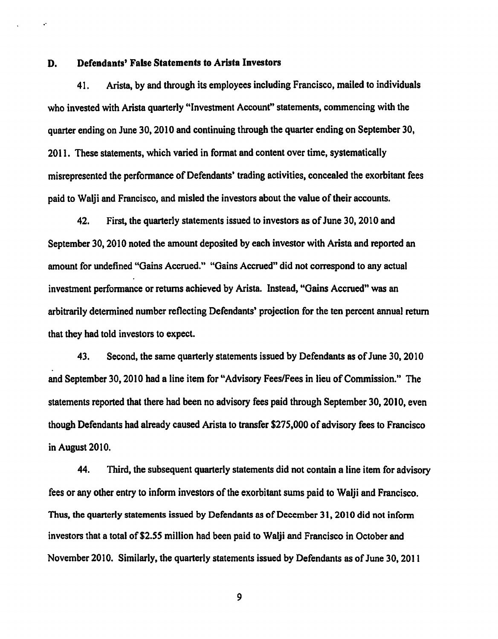#### D. Defendants' False Statements to Arista Investors

..

41. Arista, by and through its employees including Francisco, mailed to individuals who invested with Arista quarterly "Investment Account" statements, commencing with the quarter ending on June 30, 2010 and continuing through the quarter ending on September 30, 2011. These statements, which varied in fonnat and content over time, systematically misrepresented the performance of Defendants' trading activities, concealed the exorbitant fees paid to Walji and Francisco, and misled the investors about the value of their accounts.

42. First, the quarterly statements issued to investors as of June 30, 2010 and September 30,2010 noted the amount deposited by each investor with Arista and reported an amount for undefined "Gains Accrued." "Gains Accrued" did not correspond to any actual investment performance or returns achieved by Arista. Instead, "Gains Accrued" was an arbitrarily determined number reflecting Defendants' projection for the ten percent annual return that they had told investors to expect.

43. Second, the same quarterly statements issued by Defendants as of June 30, 2010 and September 30,2010 had a line item for "Advisory Fees/Fees in lieu of Commission." The statements reported that there had been no advisory fees paid through September 30,2010, even though Defendants had already caused Arista to transfer \$275,000 of advisory fees to Francisco in August 2010.

44. Third, the subsequent quarterly statements did not contain a line item for advisory fees or any other entry to inform investors of the exorbitant sums paid to Walji and Francisco. Thus, the quarterly statements issued by Defendants as of December 31, 2010 did not inform investors that a total of\$2.55 million had been paid to Walji and Francisco in October and November 2010. Similarly, the quarterly statements issued by Defendants as of June 30,2011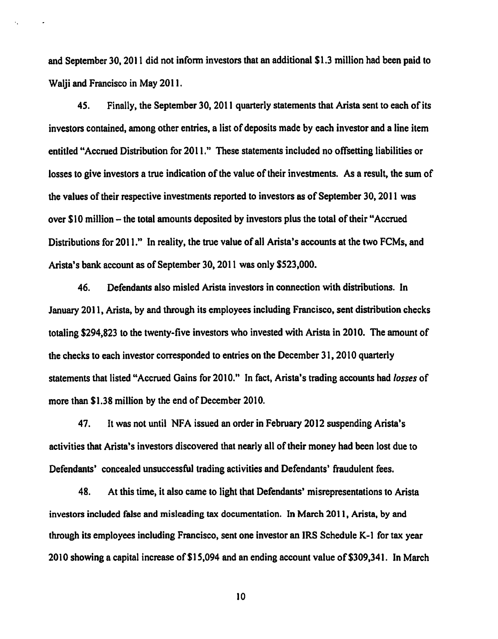and September 30, 2011 did not inform investors that an additional \$1.3 million had been paid to Walji and Francisco in May 2011.

45. Finally, the September 30, 2011 quarterly statements that Arista sent to each of its investors contained, among other entries, a list of deposits made by each investor and a line item entitled "Accrued Distribution for 2011." These statements included no offsetting liabilities or losses to give investors a true indication of the value of their investments. As a result, the sum of the values of their respective investments reported to investors as of September 30, 20 11 was over \$10 million - the total amounts deposited by investors plus the total of their "Accrued Distributions for 2011." In reality, the true value of all Arista's accounts at the two FCMs, and Arista's bank account as of September 30,2011 was only \$523,000.

46. Defendants also misled Arista investors in connection with distributions. In January 2011, Arista, by and through its employees including Francisco, sent distribution checks totaling \$294,823 to the twenty-five investors who invested with Arista in 2010. The amount of the checks to each investor corresponded to entries on the December 31, 2010 quarterly statements that listed "Accrued Gains for 2010." In fact, Arista's trading accounts had *losses* of more than \$1.38 million by the end of December 2010.

47. It was not until NFA issued an order in February 2012 suspending Arista's activities that Arista's investors discovered that nearly all of their money had been lost due to Defendants' concealed unsuccessful trading activities and Defendants' fraudulent fees.

48. At this time, it also came to light that Defendants' misrepresentations to Arista investors included false and misleading tax documentation. In March 2011, Arista, by and through its employees including Francisco, sent one investor an IRS Schedule K-1 for tax year 2010 showing a capital increase of \$1 5,094 and an ending account value of \$309.341. In March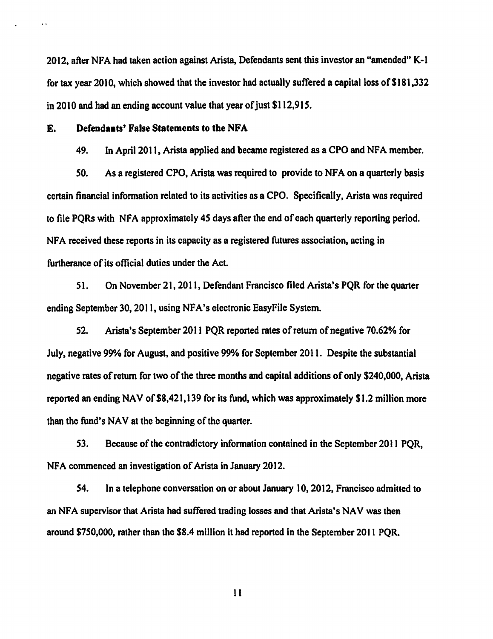2012, after NFA had taken action against Arista, Defendants sent this investor an "amended" K-1 for tax year 2010, which showed that the investor had actually suffered a capital loss of \$181,332 in 2010 and had an ending account value that year of just \$112,915.

E. Defendants' False Statements to the NFA

 $\ddot{\phantom{0}}$ 

49. In April2011, Arista applied and became registered as a CPO and NFA member.

*SO.* As a registered CPO, Arista was required to provide to NF A on a quarterly basis certain financial information related to its activities as a CPO. Specifically, Arista was required to file PQRs with NFA approximately 45 days after the end of each quarterly reporting period. NFA received these reports in its capacity as a registered futures association, acting in furtherance of its official duties under the Act

51. On November 21, 2011, Defendant Francisco filed Arista's POR for the quarter ending September 30, 2011, using NFA's electronic EasyFile System.

52. Arista's September 2011 PQR reported rates of return of negative 70.62% for July, negative 99% for August, and positive 99% for September 2011. Despite the substantial negative rates of return for two of the three months and capital additions of only \$240,000, Arista reported an ending NAV of \$8,421,139 for its fund, which was approximately \$1.2 million more than the fund's NAV at the beginning of the quarter.

53. Because of the contradictory information contained in the September 2011 PQR, NFA commenced an investigation of Arista in January 2012.

54. In a telephone conversation on or about January 10, 2012, Francisco admined to an NFA supervisor that Arista had suffered trading losses and that Arista's NAV was then around \$750,000, rather than the \$8.4 million it had reported in the September 2011 PQR.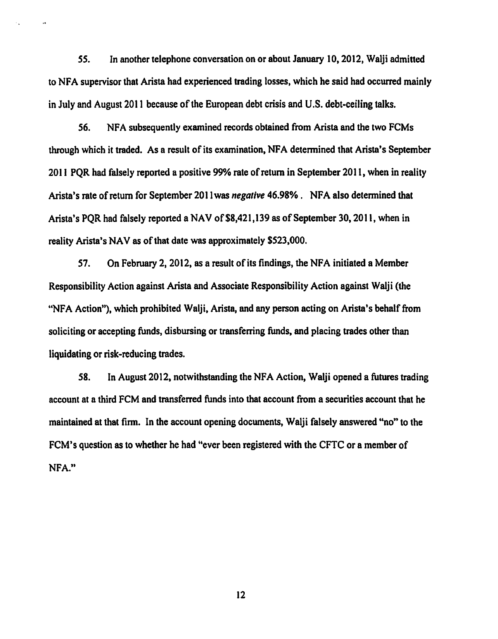*SS.* In another telephone conversation on or about January 10,2012, Walji admitted to NFA supervisor that Arista had experienced trading losses, which he said had occurred mainly in July and August 2011 because of the European debt crisis and U.S. debt-ceiling talks.

 $\ddot{\phantom{a}}$ 

56. NFA subsequently examined records obtained from Arista and the two FCMs through which it traded. As a result of its examination, NFA determined that Arista's September 20 II PQR had falsely reported a positive 99% rate of return in September 2011, when in reality Arista's rate of return for September 201I was *negalive* 46.98% . NFA also detennined that Arista's POR had falsely reported a NAV of \$8,421,139 as of September 30, 2011, when in reality Arista's NAV as of that date was approximately \$523,000.

57. On February 2, 2012, as a result of its findings, the NFA initiated a Member Responsibility Action against Arista and Associate Responsibility Action against Walji (the "NFA Action"), which prohibited Walji, Arista, and any person acting on Arista's behalf from soliciting or accepting funds, disbursing or transferring funds, and placing trades other than liquidating or risk-reducing trades.

58. In August 2012, notwithstanding the NFA Action, Walji opened a futures trading account at a third FCM and transferred funds into that account from a securities account that he maintained at that firm. In the account opening documents, Walji falsely answered "no" to the FCM's question as to whether he had "ever been registered with the CFTC or a member of NFA."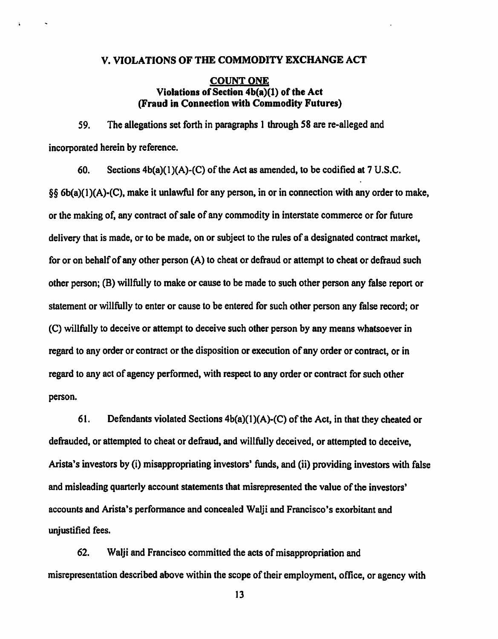#### V. VIOLATIONS OF THE COMMODITY EXCHANGE ACT

#### COUNT ONE Violations of Section 4b(a)(l) of the Act (Fraud in Connection with Commodity Futures)

59. The allegations set forth in paragraphs 1 through 58 are re-alleged and incorporated herein by reference.

60. Sections  $4b(a)(1)(A)-(C)$  of the Act as amended, to be codified at 7 U.S.C. §§ 6b(a)(l)(A)-(C), make it unlawful for any person, in or in connection with any order to make, or the making of, any contract of sale of any commodity in interstate commerce or for future delivery that is made, or to be made, on or subject to the rules of a designated contract market, for or on behalf of any other person (A) to cheat or defraud or attempt to cheat or defraud such other person; (B) willfully to make or cause to be made to such other person any false report or statement or willfully to enter or cause to be entered for such other person any false record; or (C) willfully to deceive or attempt to deceive such other person by any means whatsoever in regard to any order or contract or the disposition or execution of any order or contract, or in regard to any act of agency performed, with respect to any order or contract for such other person.

61. Defendants violated Sections  $4b(a)(1)(A)-(C)$  of the Act, in that they cheated or defrauded, or attempted to cheat or defraud, and willfully deceived, or attempted to deceive, Arista's investors by (i) misappropriating investors' funds, and (ii) providing investors with false and misleading quarterly account statements that misrepresented the value of the investors' accounts and Arista's performance and concealed Walji and Francisco's exorbitant and unjustified fees.

62. Walji and Francisco committed the acts of misappropriation and misrepresentation described above within the scope of their employment, office, or agency with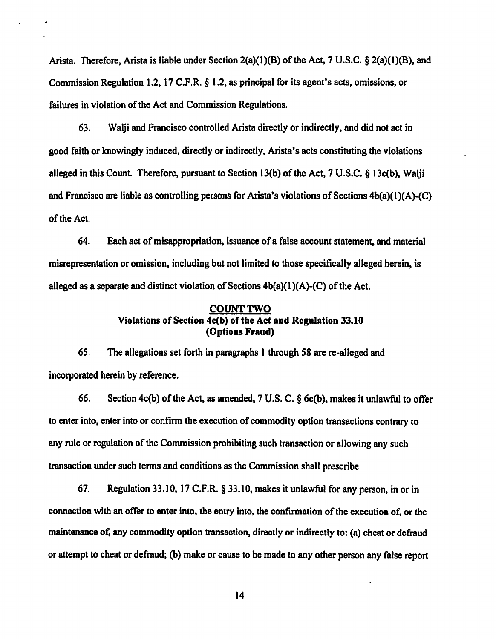Arista. Therefore, Arista is liable under Section 2(a)(l)(B) of the Act, 7 U.S.C. § 2(a)(1)(B), and Commission Regulation 1.2, 17 C.P.R. § 1.2, as principal for its agent's acts, omissions, or failures in violation of the Act and Commission Regulations.

63. Walji and Francisco controlled Arista directly or indirectly, and did not act in good faith or knowingly induced, directly or indirectly, Arista's acts constituting the violations alleged in this Count. Therefore, pursuant to Section 13(b) of the Act, 7 U.S.C. § 13c(b), Walji and Francisco are liable as controlling persons for Arista's violations of Sections 4b(a)(l)(A)-(C) of the Act.

64. Each act of misappropriation, issuance of a false account statement, and material misrepresentation or omission, including but not limited to those specifically alleged herein, is alleged as a separate and distinct violation of Sections  $4b(a)(1)(A)-(C)$  of the Act.

## COUNT TWO Violations of Section 4c(b) of the Act and Regulation 33.10 (Options Fraud)

65. The allegations set forth in paragraphs 1 through 58 are re-alleged and incorporated herein by reference.

66. Section 4c(b) of the Act, as amended, 7 U.S. C.§ 6c(b), makes it unlawful to offer to enter into, enter into or confirm the execution of commodity option transactions contrary to any rule or regulation of the Commission prohibiting such transaction or allowing any such transaction under such terms and conditions as the Commission shall prescribe.

67. Regulation 33.10, 17 C.F.R. § 33.10, makes it unlawful for any person, in or in connection with an offer to enter into, the entry into, the confinnation of the execution of, or the maintenance of, any commodity option transaction, directly or indirectly to: (a) cheat or defraud or attempt to cheat or defraud; (b) make or cause to be made to any other person any false report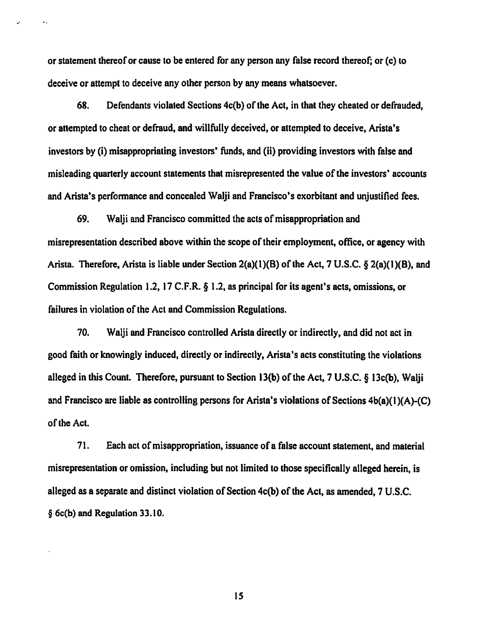or statement thereof or cause to be entered for any person any false record thereof; or (c) to deceive or attempt to deceive any other person by any means whatsoever.

..

68. Defendants violated Sections 4c(b) of the Act, in that they cheated or defrauded, or attempted to cheat or defraud, and willfully deceived, or attempted to deceive, Arista's investors by (i) misappropriating investors' funds, and (ii) providing investors with false and misleading quarterly account statements that misrepresented the value of the investors' accounts and Arista's performance and concealed Walji and Francisco's exorbitant and unjustified fees.

69. Walji and Francisco committed the acts of misappropriation and misrepresentation described above within the scope of their employment, office, or agency with Arista. Therefore, Arista is liable under Section 2(a)(l)(B) of the Act, 7 U.S.C. § 2(a)(I)(B), and Commission Regulation 1.2, 17 C.F.R. § 1.2, as principal for its agent's acts, omissions, or failures in violation of the Act and Commission Regulations.

70. Walji and Francisco controlled Arista directly or indirectly, and did not act in good faith or knowingly induced, directly or indirectly, Arista 's acts constituting the violations alleged in this Count. Therefore, pursuant to Section 13(b) of the Act, 7 U.S.C. § 13c(b), Walji and Francisco are liable as controlling persons for Arista's violations of Sections 4b(a)(l )(A)-(C) of the Act.

71. Each act of misappropriation, issuance of a false account statement, and material misrepresentation or omission, including but not limited to those specifically alleged herein, is alleged as a separate and distinct violation of Section 4c(b) of the Act, as amended, 7 U.S.C. § 6c(b) and Regulation 33.10.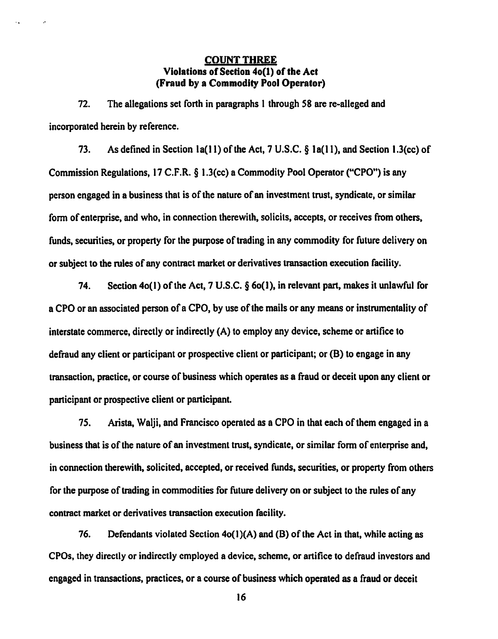# COUNT THREE Violations of Section 4o(l) of the Act (Fraud by a Commodity Pool Operator)

72. The allegations set forth in paragraphs I through 58 are re-alleged and incorporated herein by reference.

73. As defined in Section la(ll) of the Act, 7 U.S.C. § la(ll), and Section 1.3(cc) of Commission Regulations, 17 C.F.R. § 1.3(cc) a Commodity Pool Operator ("CPO") is any person engaged in a business that is of the nature of an investment trust, syndicate, or similar form of enterprise, and who, in connection therewith, solicits, accepts, or receives from others, funds, securities, or property for the purpose of trading in any commodity for future delivery on or subject to the rules of any contract market or derivatives transaction execution facility.

74. Section 4o(l) of the Act, 7 U.S.C. § 6o(J), in relevant part, makes it unlawful for a CPO or an associated person of a CPO, by use of the mails or any means or instrumentality of interstate commerce, directly or indirectly (A) to employ any device, scheme or artifice to defraud any client or participant or prospective client or participant; or (B) to engage in any transaction, practice, or course of business which operates as a fraud or deceit upon any client or participant or prospective client or participant.

75. Arista, Walji, and Francisco operated as a CPO in that each of them engaged in a business that is of the nature of an investment trust, syndicate, or similar form of enterprise and, in connection therewith, solicited, accepted, or received funds, securities, or property from others for the purpose of trading in commodities for future delivery on or subject to the rules of any contract market or derivatives transaction execution facility.

76. Defendants violated Section  $4o(1)(A)$  and (B) of the Act in that, while acting as CPOs, they directly or indirectly employed a device, scheme, or artifice to defraud investors and engaged in transactions, practices, or a course of business which operated as a fraud or deceit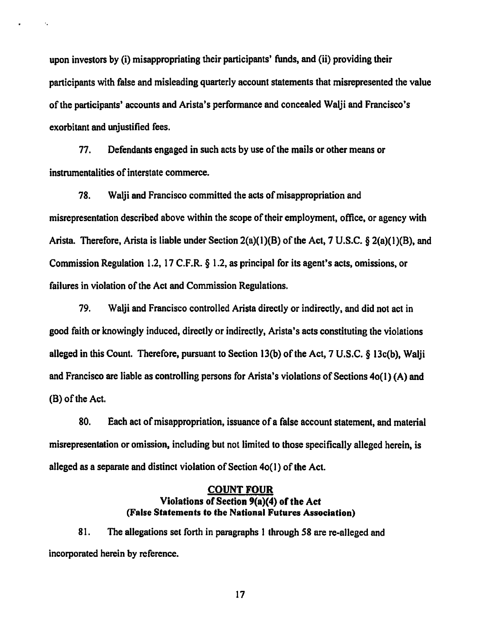upon investors by (i) misappropriating their participants' funds, and (ii) providing their participants with false and misleading quarterly account statements that misrepresented the value of the participants' accounts and Arista's perfonnance and concealed Walji and Francisco's exorbitant and unjustified fees.

77. Defendants engaged in such acts by use of the mails or other means or instrumentalities of interstate commerce.

·.

78. Walji and Francisco committed the acts of misappropriation and misrepresentation described above within the scope of their employment, office, or agency with Arista. Therefore, Arista is liable under Section 2(a)(l)(B) of the Act, 7 U.S.C. § 2(a)(l)(B), and Commission Regulation 1.2, 17 C.F.R. § 1.2, as principal for its agent's acts, omissions, or failures in violation of the Act and Commission Regulations.

79. Walji and Francisco controlled Arista directly or indirectly, and did not act in good faith or knowingly induced, directly or indirectly, Arista's acts constituting the violations alleged in this Count. Therefore, pursuant to Section 13(b) of the Act, 7 U.S.C. § 13c(b), Walji and Francisco are liable as controlling persons for Arista's violations of Sections 4o(l) (A) and (B) of the Act.

80. Each act of misappropriation, issuance of a false account statement, and material misrepresentation or omission, including but not limited to those specifically alleged herein, is alleged as a separate and distinct violation of Section 4o( I) of the Act.

# COUNT FOUR Violations of Section 9(a)(4) of the Act (False Statements to tbe National Futures Association)

81. The allegations set forth in paragraphs 1 through 58 are re-alleged and incorporated herein by reference.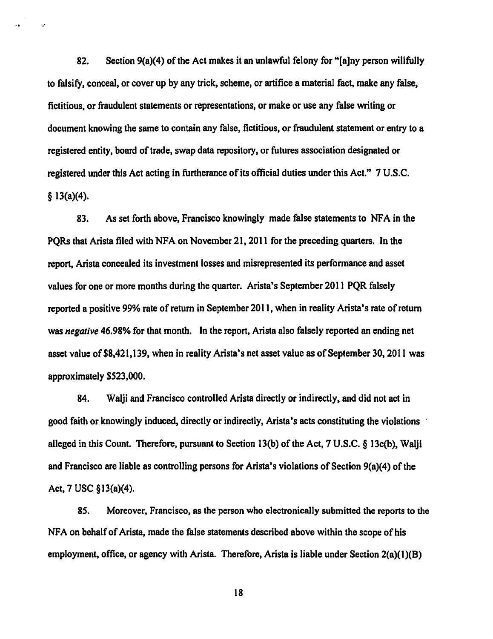82. Section 9(a)(4) of the Act makes it an unlawful felony for "[a]ny person willfully to falsify, conceal, or cover up by any trick, scheme, or artifice a material fact, make any false, fictitious, or fraudulent statements or representations, or make or use any false writing or document knowing the same to contain any false, fictitious, or fraudulent statement or entry to a registered entity, board of trade, swap data repository, or futures association designated or registered under this Act acting in furtherance of its official duties under this Act." 7 U.S.C.  $§$  13(a)(4).

.·

83. As set forth above, Francisco knowingly made false statements to NFA in the PQRs that Arista filed with NFA on November 21,2011 for the preceding quarters. In the report, Arista concealed its investment losses and misrepresented its perfonnance and asset values for one or more months during the quarter. Arista's September 2011 PQR falsely reported a positive 99% rate of return in September 2011, when in reality Arista's rate of return was *negative* 46.98% for that month. In the report, Arista also falsely reported an ending net asset value of \$8,421,139, when in reality Arista's net asset value as of September 30, 2011 was approximately \$523,000.

84. Walji and Francisco controlled Arista directly or indirectly, and did not act in good faith or knowingly induced, directly or indirectly, Arista's acts constituting the violations alleged in this Count. Therefore, pursuant to Section 13(b) of the Act, 7 U.S.C. § 13c(b), Walji and Francisco are liable as controlling persons for Arista's violations of Section 9(a)(4) of the Act, 7 USC §13(a)(4).

85. Moreover, Francisco, as the person who electronically submitted the reports to the NFA on behalf of Arista, made the false statements described above within the scope of his employment, office, or agency with Arista. Therefore, Arista is liable under Section 2(a)(1)(B)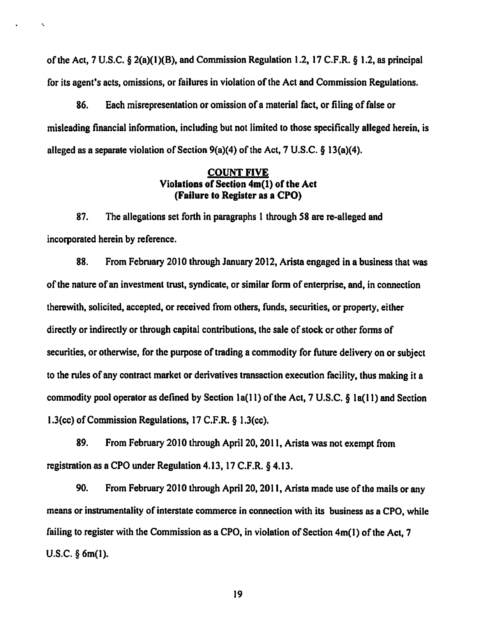of the Act, 7 U.S.C.  $\S 2(a)(1)(B)$ , and Commission Regulation 1.2, 17 C.F.R.  $\S 1.2$ , as principal for its agent's acts, omissions, or failures in violation of the Act and Commission Regulations.

·.

86. Each misrepresentation or omission of a material fact, or filing of false or misleading financial information, including but not limited to those specifically alleged herein, is alleged as a separate violation of Section 9(a)(4) of the Act, 7 U.S.C. § 13(a)(4).

### COUNT FIVE Violations of Section 4m(l) of the Act (Failure to Register as a CPO)

87. The allegations set forth in paragraphs 1 through 58 are re-alleged and incorporated herein by reference.

88. From February 2010 through January 2012, Arista engaged in a business that was of the nature of an investment trust, syndicate, or similar form of enterprise, and, in connection therewith, solicited, accepted, or received from others, funds, securities, or property, either directly or indirectly or through capital contributions, the sale of stock or other forms of securities, or otherwise, for the purpose of trading a commodity for future delivery on or subject to the rules of any contract market or derivatives transaction execution facility, thus making it a commodity pool operator as defined by Section 1a(11) of the Act, 7 U.S.C.  $\S$  1a(11) and Section l.J(cc) of Commission Regulations, 17 C.F.R. § 1.3(cc).

89. From February 2010 through April 20, 2011, Arista was not exempt from registration as a CPO under Regulation 4.13, 17 C.F.R. § 4.13.

90. From February 2010 through April 20, 2011, Arista made use of the mails or any means or instrumentality of interstate commerce in connection with its business as a CPO, while failing to register with the Commission as a CPO, in violation of Section 4m(l) of the Act, 7 U.S.C. § 6m(l).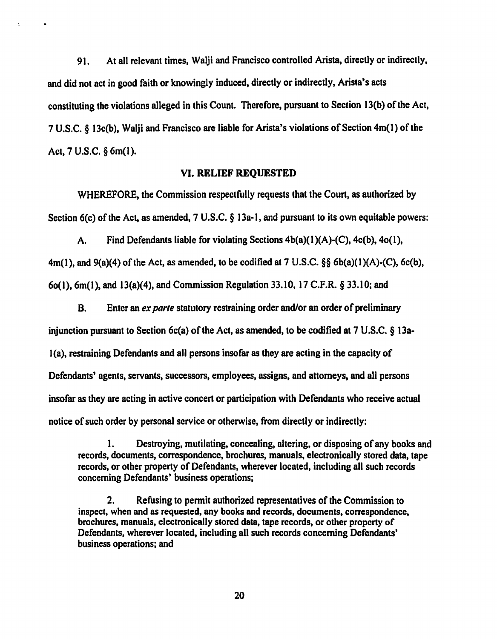91. At all relevant times, Walji and Francisco controlled Arista, directly or indirectly, and did not act in good faith or knowingly induced, directly or indirectly, Arista's acts constituting the violations alleged in this Count. Therefore, pursuant to Section 13(b) of the Act, 7 U.S.C. § 13c(b), Walji and Francisco are liable for Arista's violations of Section 4m(l) of the Act, 7 U.S.C. § 6m(l).

 $\ddot{\phantom{a}}$ 

#### VI. RELIEF REQUESTED

WHEREFORE, the Commission respectfully requests that the Court, as authorized by Section 6(c) of the Act, as amended, 7 U.S.C. § 13a-1, and pursuant to its own equitable powers:

A. Find Defendants liable for violating Sections  $4b(a)(1)(A)-(C)$ ,  $4c(b)$ ,  $4o(1)$ ,  $4m(1)$ , and  $9(a)(4)$  of the Act, as amended, to be codified at 7 U.S.C. §§ 6b(a)(1)(A)-(C), 6c(b), 6o(1),  $6m(1)$ , and  $13(a)(4)$ , and Commission Regulation 33.10, 17 C.F.R. § 33.10; and

B. Enter an *ex parte* statutory restraining order and/or an order of preliminary injunction pursuant to Section  $6c(a)$  of the Act, as amended, to be codified at 7 U.S.C. § 13a-1(a), restraining Defendants and all persons insofar as they are acting in the capacity of Defendants' agents, servants, successors, employees, assigns, and attorneys, and all persons insofar as they are acting in active concert or participation with Defendants who receive actual notice of such order by personal service or otherwise, from directly or indirectly:

1. Destroying, mutilating, concealing, altering, or disposing of any books and records, documents, correspondence, brochures, manuals, electronically stored data, tape records, or other property of Defendants, wherever located, including all such records concerning Defendants' business operations;

2. Refusing to permit authorized representatives of the Commission to inspect, when and as requested, any books and records, documents, correspondence, brochures, manuals, electronically stored data, tape records, or other property of Defendants, wherever located, including all such records concerning Defendants' business operations; and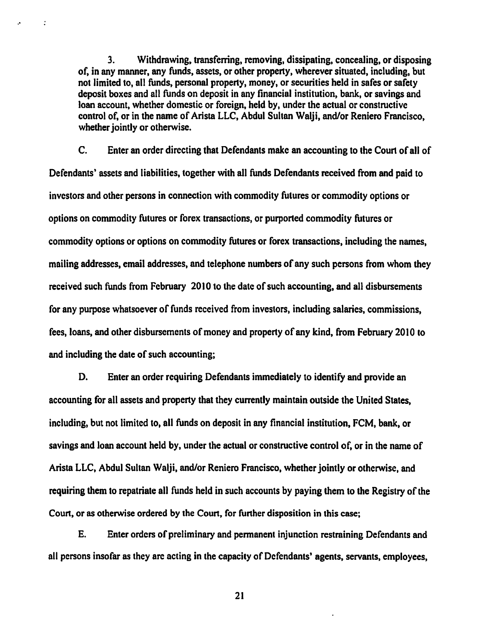3. Withdrawing, transferring, removing, dissipating, concealing, or disposing of, in any manner, any funds, assets, or other property, wherever situated, including, but not limited to, all funds, personal property, money, or securities held in safes or safety deposit boxes and all funds on deposit in any financial institution, bank, or savings and loan account, whether domestic or foreign, held by, under the actual or constructive control of, or in the name of Arista LLC, Abdul Sultan Walji, and/or Reniero Francisco, whether jointly or otherwise.

.•

 $\ddot{z}$ 

C. Enter an order directing that Defendants make an accounting to the Court of all of Defendants' assets and liabilities, together with all funds Defendants received from and paid to investors and other persons in connection with commodity futures or commodity options or options on commodity futures or forex transactions, or purported commodity futures or commodity options or options on commodity futures or forex transactions, including the names, mailing addresses, email addresses, and telephone numbers of any such persons from whom they received such funds from February 2010 to the date of such accounting, and all disbursements for any purpose whatsoever of funds received from investors, including salaries, commissions, fees, loans, and other disbursements of money and property of any kind, from February 2010 to and including the date of such accounting;

D. Enter an order requiring Defendants immediately to identify and provide an accounting for all assets and property that they currently maintain outside the United States, including, but not limited to, all funds on deposit in any financial institution, FCM, bank, or savings and loan account held by, under the actual or constructive control of, or in the name of Arista LLC, Abdul Sultan Walji, and/or Reniero Francisco, whether jointly or otherwise, and requiring them to repatriate all funds held in such accounts by paying them to the Registry of the Court, or as otherwise ordered by the Court, for further disposition in this case;

E. Enter orders of preliminary and pennanent injunction restraining Defendants and all persons insofar as they are acting in the capacity of Defendants' agents, servants, employees,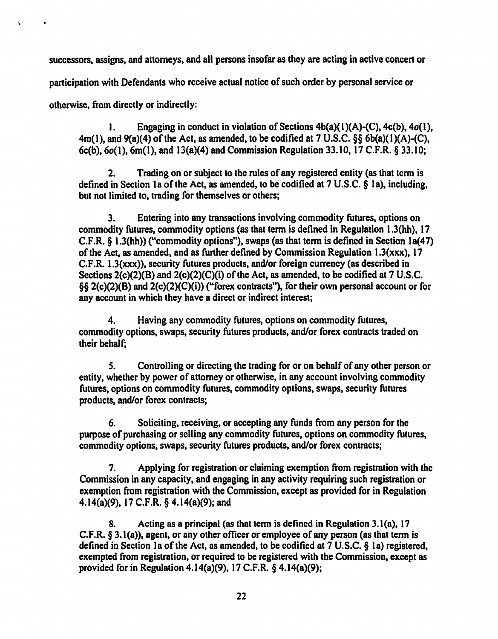successors. assigns, and attorneys, and all persons insofar as they are acting in active concert or

participation with Defendants who receive actual notice of such order by personal service or

otherwise, from directly or indirectly:

·.

1. Engaging in conduct in violation of Sections  $4b(a)(1)(A)-(C)$ ,  $4c(b)$ ,  $4o(1)$ ,  $4m(1)$ , and  $9(a)(4)$  of the Act, as amended, to be codified at 7 U.S.C. §§ 6b(a)(1)(A)-(C), 6c(b), 6o(l), 6m(l), and 13(a)(4) and Commission Regulation 33.10, 17 C.F.R. § 33.10;

2. Trading on or subject to the rules of any registered entity (as that term is defined in Section Ia of the Act, as amended, to be codified at 7 U.S.C. § Ia), including, but not limited to, trading for themselves or others;

3. Entering into any transactions involving commodity futures, options on commodity futures, commodity options (as that term is defined in Regulation 1.3(hh), 17 C.F.R.  $\S$  1.3(hh)) ("commodity options"), swaps (as that term is defined in Section 1a(47) of the Act. as amended, and as further defined by Commission Regulation 1.3(xxx), 17 C.F.R. 1.3(xxx)), security futures products, and/or foreign currency (as described in Sections 2(c)(2)(B) and 2(c)(2)(C)(i) of the Act, as amended, to be codified at 7 U.S.C. §§ 2(c)(2)(B) and 2(c)(2)(C)(i)) ("forex contracts"), for their own personal account or for any account in which they have a direct or indirect interest;

4. Having any commodity futures, options on commodity futures, commodity options, swaps, security futures products, and/or forex contracts traded on their behalf;

*S.* Controlling or directing the trading for or on behalf of any other person or entity, whether by power of attorney or otherwise, in any account involving commodity futures, options on commodity futures, commodity options, swaps, security futures products, and/or forex contracts;

6. Soliciting, receiving, or accepting any funds from any person for the purpose of purchasing or selling any commodity futures, options on commodity futures, commodity options, swaps, security futures products, and/or forex contracts;

7. Applying for registration or claiming exemption from registration with the Commission in any capacity, and engaging in any activity requiring such registration or exemption from registration with the Commission, except as provided for in Regulation 4.14(a)(9), 17 C.F.R. § 4.14(a)(9); and

8. Acting as a principal (as that term is defined in Regulation 3.1(a), 17 C.F.R. § 3.1(a)), agent, or any other officer or employee of any person (as that term is defined in Section Ia of the Act, as amended, to be codified at 7 U.S.C. § Ia) registered, exempted from registration, or required to be registered with the Commission, except as provided for in Regulation 4.14(a)(9), 17 C.F.R. § 4.14(a)(9);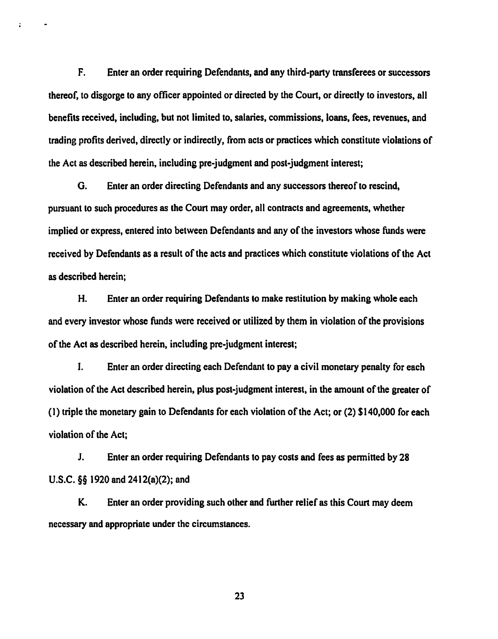F. Enter an order requiring Defendants, and any third-party transferees or successors thereof, to disgorge to any officer appointed or directed by the Court, or directly to investors, all benefits received, including, but not limited to, salaries, commissions, loans, fees, revenues, and trading profits derived, directly or indirectly, from acts or practices which constitute violations of the Act as described herein, including pre-judgment and post-judgment interest;

 $\ddot{\phantom{a}}$ 

G. Enter an order directing Defendants and any successors thereof to rescind, pursuant to such procedures as the Court may order, all contracts and agreements, whether implied or express, entered into between Defendants and any of the investors whose funds were received by Defendants as a result of the acts and practices which constitute violations of the Act as described herein;

H. Enter an order requiring Defendants to make restitution by making whole each and every investor whose funds were received or utilized by them in violation of the provisions of the Act as described herein, including pre-judgment interest;

I. Enter an order directing each Defendant to pay a civil monetary penalty for each violation of the Act described herein, plus post-judgment interest, in the amount of the greater of ( 1) triple the monetary gain to Defendants for each violation of the Act; or (2) \$140,000 for each violation of the Act;

J. Enter an order requiring Defendants to pay costs and fees as permitted by 28 U.S.C. §§ 1920 and 2412(a)(2); and

K. Enter an order providing such other and further relief as this Court may deem necessary and appropriate under the circumstances.